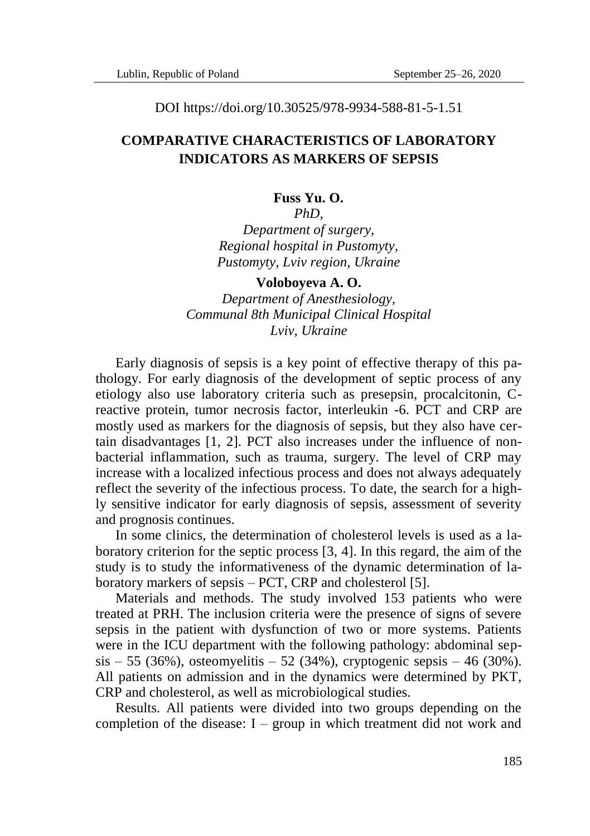DOI https://doi.org/10.30525/978-9934-588-81-5-1.51

## **COMPARATIVE CHARACTERISTICS OF LABORATORY INDICATORS AS MARKERS OF SEPSIS**

### **Fuss Yu. O.**

*PhD,*

*Department of surgery, Regional hospital in Pustomyty, Pustomyty, Lviv region, Ukraine*

#### **Voloboyeva A. O.**

*Department of Anesthesiology, Communal 8th Municipal Clinical Hospital Lviv, Ukraine*

Early diagnosis of sepsis is a key point of effective therapy of this pathology. For early diagnosis of the development of septic process of any etiology also use laboratory criteria such as presepsin, procalcitonin, Creactive protein, tumor necrosis factor, interleukin -6. PCT and CRP are mostly used as markers for the diagnosis of sepsis, but they also have certain disadvantages [1, 2]. PCT also increases under the influence of nonbacterial inflammation, such as trauma, surgery. The level of CRP may increase with a localized infectious process and does not always adequately reflect the severity of the infectious process. To date, the search for a highly sensitive indicator for early diagnosis of sepsis, assessment of severity and prognosis continues.

In some clinics, the determination of cholesterol levels is used as a laboratory criterion for the septic process [3, 4]. In this regard, the aim of the study is to study the informativeness of the dynamic determination of laboratory markers of sepsis – PCT, CRP and cholesterol [5].

Materials and methods. The study involved 153 patients who were treated at PRH. The inclusion criteria were the presence of signs of severe sepsis in the patient with dysfunction of two or more systems. Patients were in the ICU department with the following pathology: abdominal sep $sis - 55 (36\%)$ , osteomyelitis – 52 (34%), cryptogenic sepsis – 46 (30%). All patients on admission and in the dynamics were determined by PKT, CRP and cholesterol, as well as microbiological studies.

Results. All patients were divided into two groups depending on the completion of the disease:  $I - group$  in which treatment did not work and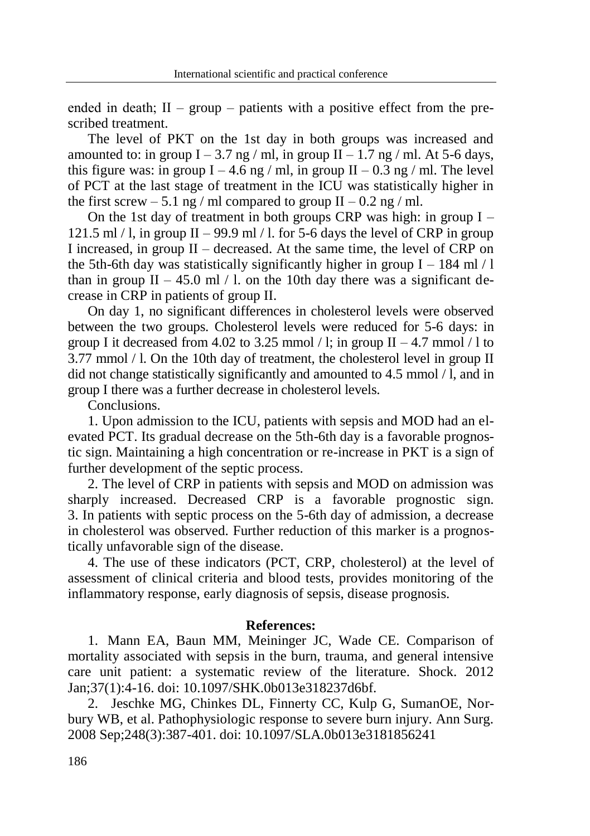ended in death;  $II -$  group – patients with a positive effect from the prescribed treatment.

The level of PKT on the 1st day in both groups was increased and amounted to: in group  $I - 3.7$  ng / ml, in group  $II - 1.7$  ng / ml. At 5-6 days, this figure was: in group  $I - 4.6$  ng / ml, in group  $II - 0.3$  ng / ml. The level of PCT at the last stage of treatment in the ICU was statistically higher in the first screw  $-5.1$  ng / ml compared to group II  $-0.2$  ng / ml.

On the 1st day of treatment in both groups CRP was high: in group  $I 121.5$  ml  $/$  l, in group II – 99.9 ml  $/$  l, for 5-6 days the level of CRP in group I increased, in group II – decreased. At the same time, the level of CRP on the 5th-6th day was statistically significantly higher in group I – 184 ml  $/1$ than in group  $II - 45.0$  ml / l. on the 10th day there was a significant decrease in CRP in patients of group II.

On day 1, no significant differences in cholesterol levels were observed between the two groups. Cholesterol levels were reduced for 5-6 days: in group I it decreased from 4.02 to 3.25 mmol / l; in group  $II - 4.7$  mmol / l to 3.77 mmol / l. On the 10th day of treatment, the cholesterol level in group II did not change statistically significantly and amounted to 4.5 mmol / l, and in group I there was a further decrease in cholesterol levels.

Conclusions.

1. Upon admission to the ICU, patients with sepsis and MOD had an elevated PCT. Its gradual decrease on the 5th-6th day is a favorable prognostic sign. Maintaining a high concentration or re-increase in PKT is a sign of further development of the septic process.

2. The level of CRP in patients with sepsis and MOD on admission was sharply increased. Decreased CRP is a favorable prognostic sign. 3. In patients with septic process on the 5-6th day of admission, a decrease in cholesterol was observed. Further reduction of this marker is a prognostically unfavorable sign of the disease.

4. The use of these indicators (PCT, CRP, cholesterol) at the level of assessment of clinical criteria and blood tests, provides monitoring of the inflammatory response, early diagnosis of sepsis, disease prognosis.

### **References:**

1. Mann EA, Baun MM, Meininger JC, Wade CE. Comparison of mortality associated with sepsis in the burn, trauma, and general intensive care unit patient: a systematic review of the literature. Shock. 2012 Jan;37(1):4-16. doi: 10.1097/SHK.0b013e318237d6bf.

2. Jeschke MG, Chinkes DL, Finnerty CC, Kulp G, SumanOE, Norbury WB, et al. Pathophysiologic response to severe burn injury. Ann Surg. 2008 Sep;248(3):387-401. doi: 10.1097/SLA.0b013e3181856241